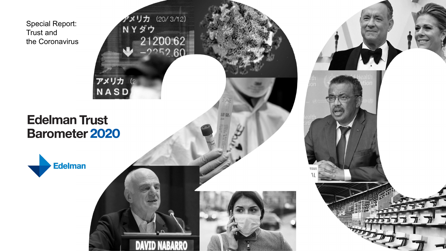Special Report: Trust and the Coronavirus



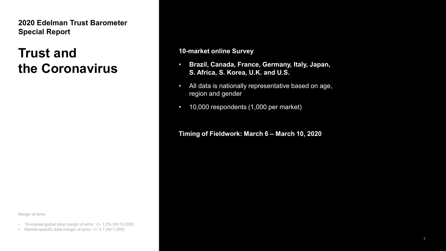**2020 Edelman Trust Barometer Special Report**

#### **Trust and the Coronavirus**

Margin of error

- 10-market global data margin of error: +/- 1.0% (N=10,000)
- Market-specific data margin of error: +/- 3.1 (N=1,000)

**10-market online Survey**

- **Brazil, Canada, France, Germany, Italy, Japan, S. Africa, S. Korea, U.K. and U.S.**
- All data is nationally representative based on age, region and gender
- 10,000 respondents (1,000 per market)

#### **Timing of Fieldwork: March 6 – March 10, 2020**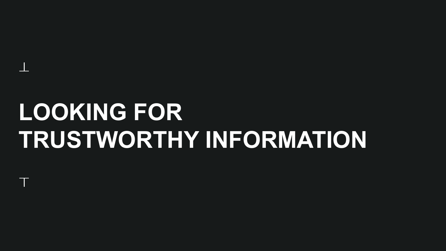# **LOOKING FOR TRUSTWORTHY INFORMATION**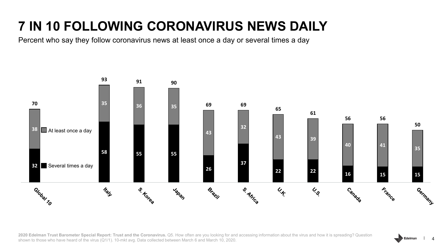## **7 IN 10 FOLLOWING CORONAVIRUS NEWS DAILY**

Percent who say they follow coronavirus news at least once a day or several times a day



2020 Edelman Trust Barometer Special Report: Trust and the Coronavirus. Q5. How often are you looking for and accessing information about the virus and how it is spreading? Question shown to those who have heard of the virus (Q1/1). 10-mkt avg. Data collected between March 6 and March 10, 2020.

Edelman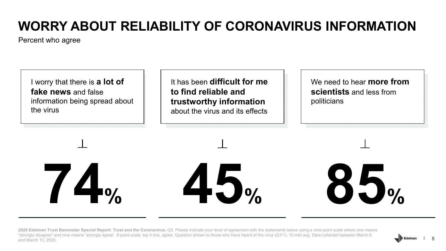## **WORRY ABOUT RELIABILITY OF CORONAVIRUS INFORMATION**

Percent who agree



It has been **difficult for me to find reliable and trustworthy information** about the virus and its effects

We need to hear **more from scientists** and less from politicians

**74%**

**45% 85%**

2020 Edelman Trust Barometer Special Report: Trust and the Coronavirus. Q3. Please indicate your level of agreement with the statements below using a nine-point scale where one means "strongly disagree" and nine means "strongly agree". 9-point scale; top 4 box, agree. Question shown to those who have heard of the virus (Q1/1). 10-mkt avg. Data collected between March 6 and March 10, 2020.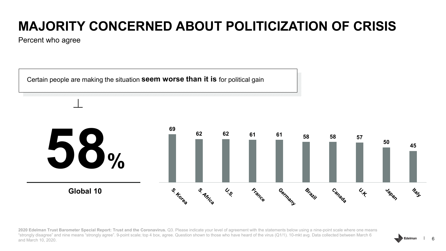#### **MAJORITY CONCERNED ABOUT POLITICIZATION OF CRISIS**

Percent who agree



2020 Edelman Trust Barometer Special Report: Trust and the Coronavirus. Q3. Please indicate your level of agreement with the statements below using a nine-point scale where one means "strongly disagree" and nine means "strongly agree". 9-point scale; top 4 box, agree. Question shown to those who have heard of the virus (Q1/1). 10-mkt avg. Data collected between March 6 and March 10, 2020.

Edelmar 6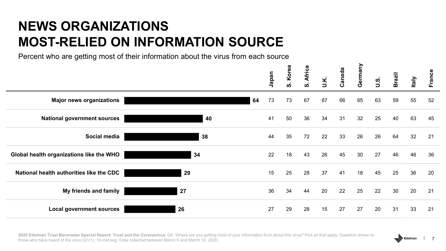#### **NEWS ORGANIZATIONS MOST-RELIED ON INFORMATION SOURCE**

Percent who are getting most of their information about the virus from each source

|                                          |    | Japan | Korea<br>ທ່ | <b>Africa</b><br>ທ່ | U.K. | Canada | Germany | <b>.S.</b><br>U.S. | <b>Brazil</b> | <b>Italy</b> | France |
|------------------------------------------|----|-------|-------------|---------------------|------|--------|---------|--------------------|---------------|--------------|--------|
| <b>Major news organizations</b>          | 64 | 73    | 73          | 67                  | 67   | 66     | 65      | 63                 | 59            | 55           | 52     |
| <b>National government sources</b>       | 40 | 41    | 50          | 36                  | 34   | 31     | 32      | 25                 | 40            | 63           | 45     |
| Social media                             | 38 | 44    | 35          | 72                  | 22   | 33     | 26      | 26                 | 64            | 32           | 21     |
| Global health organizations like the WHO | 34 | 22    | 18          | 43                  | 26   | 45     | 30      | 27                 | 46            | 46           | 36     |
| National health authorities like the CDC | 29 | 15    | 25          | 28                  | 37   | 41     | 18      | 45                 | 25            | 36           | 20     |
| My friends and family                    | 27 | 36    | 34          | 44                  | 20   | 22     | 25      | 22                 | 30            | 20           | 21     |
| <b>Local government sources</b>          | 26 | 27    | 29          | 28                  | 15   | 27     | 27      | 20                 | 31            | 33           | 21     |

Edelmar 7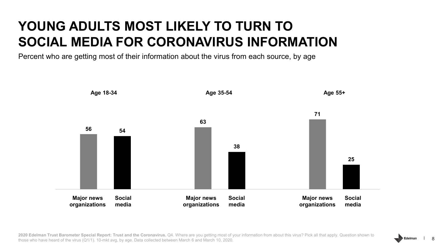#### **YOUNG ADULTS MOST LIKELY TO TURN TO SOCIAL MEDIA FOR CORONAVIRUS INFORMATION**

Percent who are getting most of their information about the virus from each source, by age



2020 Edelman Trust Barometer Special Report: Trust and the Coronavirus. Q4. Where are you getting most of your information from about this virus? Pick all that apply. Question shown to those who have heard of the virus (Q1/1). 10-mkt avg, by age. Data collected between March 6 and March 10, 2020.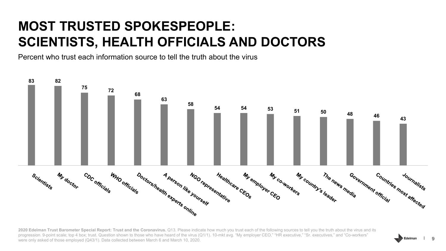#### **MOST TRUSTED SPOKESPEOPLE: SCIENTISTS, HEALTH OFFICIALS AND DOCTORS**

Percent who trust each information source to tell the truth about the virus



2020 Edelman Trust Barometer Special Report: Trust and the Coronavirus. Q13. Please indicate how much you trust each of the following sources to tell you the truth about the virus and its progression. 9-point scale; top 4 box; trust. Question shown to those who have heard of the virus (Q1/1). 10-mkt avg. "My employer CEO," "HR executive," "Sr. executives," and "Co-workers" were only asked of those employed (Q43/1). Data collected between March 6 and March 10, 2020.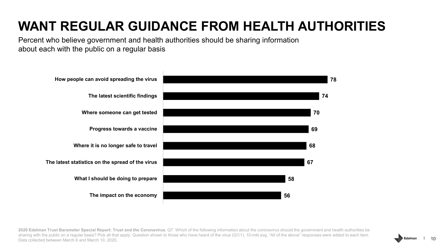### **WANT REGULAR GUIDANCE FROM HEALTH AUTHORITIES**

Percent who believe government and health authorities should be sharing information about each with the public on a regular basis



**2020 Edelman Trust Barometer Special Report: Trust and the Coronavirus.** Q7. Which of the following information about the coronavirus should the government and health authorities be sharing with the public on a regular basis? Pick all that apply. Question shown to those who have heard of the virus (Q1/1). 10-mkt avg. "All of the above" responses were added to each item. Data collected between March 6 and March 10, 2020.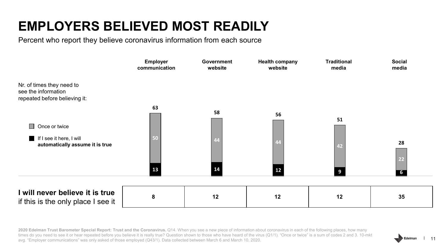#### **EMPLOYERS BELIEVED MOST READILY**

Percent who report they believe coronavirus information from each source



**2020 Edelman Trust Barometer Special Report: Trust and the Coronavirus.** Q14. When you see a new piece of information about coronavirus in each of the following places, how many times do you need to see it or hear repeated before you believe it is really true? Question shown to those who have heard of the virus (Q1/1). "Once or twice" is a sum of codes 2 and 3. 10-mkt avg. "Employer communications" was only asked of those employed (Q43/1). Data collected between March 6 and March 10, 2020.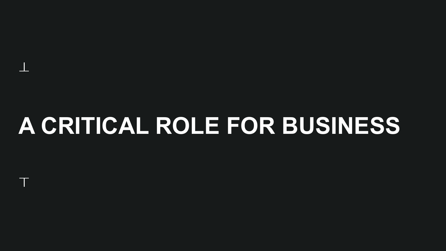# **A CRITICAL ROLE FOR BUSINESS**

 $\Box$ 

T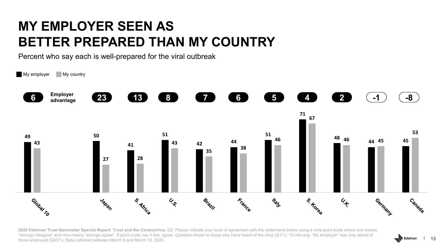#### **MY EMPLOYER SEEN AS BETTER PREPARED THAN MY COUNTRY**

Percent who say each is well-prepared for the viral outbreak



2020 Edelman Trust Barometer Special Report: Trust and the Coronavirus. Q3. Please indicate your level of agreement with the statements below using a nine-point scale where one means "strongly disagree" and nine means "strongly agree". 9-point scale; top 4 box, agree. Question shown to those who have heard of the virus (Q1/1). 10-mkt avg. "My employer" was only asked of those employed (Q43/1). Data collected between March 6 and March 10, 2020.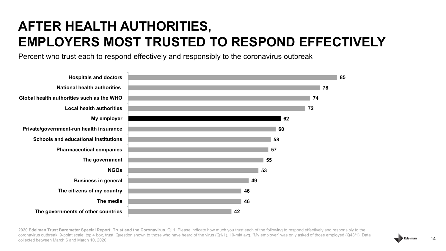#### **AFTER HEALTH AUTHORITIES, EMPLOYERS MOST TRUSTED TO RESPOND EFFECTIVELY**

Percent who trust each to respond effectively and responsibly to the coronavirus outbreak



2020 Edelman Trust Barometer Special Report: Trust and the Coronavirus. Q11. Please indicate how much you trust each of the following to respond effectively and responsibly to the coronavirus outbreak. 9-point scale; top 4 box, trust. Question shown to those who have heard of the virus (Q1/1). 10-mkt avg. "My employer" was only asked of those employed (Q43/1). Data collected between March 6 and March 10, 2020.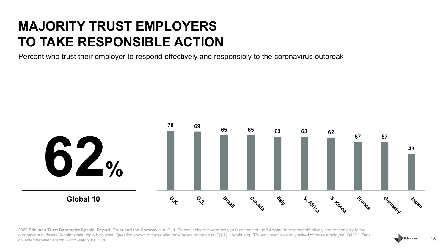#### **MAJORITY TRUST EMPLOYERS TO TAKE RESPONSIBLE ACTION**

Percent who trust their employer to respond effectively and responsibly to the coronavirus outbreak



2020 Edelman Trust Barometer Special Report: Trust and the Coronavirus. Q11. Please indicate how much you trust each of the following to respond effectively and responsibly to the coronavirus outbreak. 9-point scale; top 4 box, trust. Question shown to those who have heard of the virus (Q1/1). 10-mkt avg. "My employer" was only asked of those employed (Q43/1). Data collected between March 6 and March 10, 2020.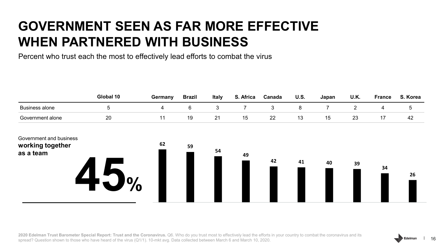#### **GOVERNMENT SEEN AS FAR MORE EFFECTIVE WHEN PARTNERED WITH BUSINESS**

Percent who trust each the most to effectively lead efforts to combat the virus

|                                                          | Global 10  | Germany | <b>Brazil</b> | <b>Italy</b>   | S. Africa      | Canada     | <b>U.S.</b> | Japan | U.K.           | <b>France</b> | S. Korea       |
|----------------------------------------------------------|------------|---------|---------------|----------------|----------------|------------|-------------|-------|----------------|---------------|----------------|
| <b>Business alone</b>                                    | $\sqrt{5}$ | 4       | $\,6\,$       | $\mathfrak{B}$ | $\overline{7}$ | $\sqrt{3}$ | $\bf 8$     | 7     | $\overline{2}$ | 4             | $\overline{5}$ |
| Government alone                                         | 20         | 11      | 19            | 21             | 15             | 22         | 13          | 15    | 23             | 17            | 42             |
| Government and business<br>working together<br>as a team | O,         | 62      | 59            | 54             | 49             | 42         | 41          | 40    | 39             | 34            | 26             |

**2020 Edelman Trust Barometer Special Report: Trust and the Coronavirus.** Q6. Who do you trust most to effectively lead the efforts in your country to combat the coronavirus and its spread? Question shown to those who have heard of the virus (Q1/1). 10-mkt avg. Data collected between March 6 and March 10, 2020.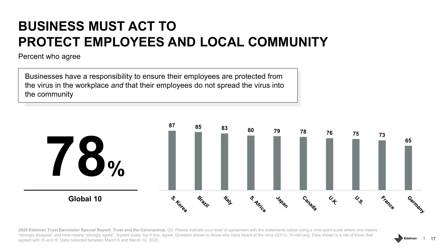#### **BUSINESS MUST ACT TO PROTECT EMPLOYEES AND LOCAL COMMUNITY**

Percent who agree

Businesses have a responsibility to ensure their employees are protected from the virus in the workplace *and* that their employees do not spread the virus into the community



2020 Edelman Trust Barometer Special Report: Trust and the Coronavirus. Q3. Please indicate your level of agreement with the statements below using a nine-point scale where one means "strongly disagree" and nine means "strongly agree". 9-point scale; top 4 box, agree. Question shown to those who have heard of the virus (Q1/1). 10-mkt avg. Data shown is a net of those that agreed with r5 and r6. Data collected between March 6 and March 10, 2020.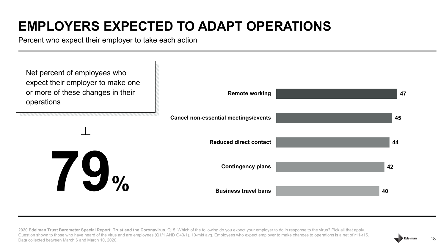### **EMPLOYERS EXPECTED TO ADAPT OPERATIONS**

Percent who expect their employer to take each action



2020 Edelman Trust Barometer Special Report: Trust and the Coronavirus. Q15. Which of the following do you expect your employer to do in response to the virus? Pick all that apply. Question shown to those who have heard of the virus and are employees (Q1/1 AND Q43/1). 10-mkt avg. Employees who expect employer to make changes to operations is a net of r11-r15. Data collected between March 6 and March 10, 2020.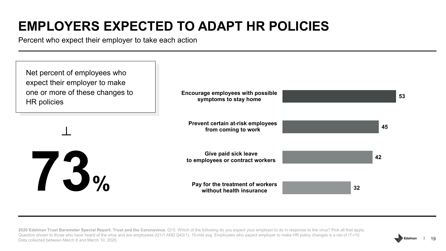### **EMPLOYERS EXPECTED TO ADAPT HR POLICIES**

Percent who expect their employer to take each action



**2020 Edelman Trust Barometer Special Report: Trust and the Coronavirus.** Q15. Which of the following do you expect your employer to do in response to the virus? Pick all that apply. Question shown to those who have heard of the virus and are employees (Q1/1 AND Q43/1). 10-mkt avg. Employees who expect employer to make HR policy changes is a net of r7-r10. Data collected between March 6 and March 10, 2020.

19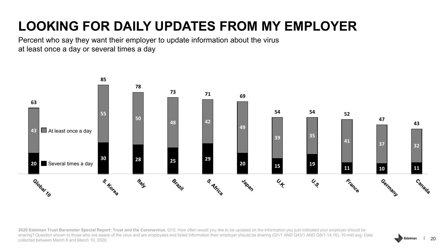### **LOOKING FOR DAILY UPDATES FROM MY EMPLOYER**

Percent who say they want their employer to update information about the virus at least once a day or several times a day



2020 Edelman Trust Barometer Special Report: Trust and the Coronavirus. Q10. How often would you like to be updated on the information you just indicated your employer should be sharing? Question shown to those who are aware of the virus and are employees and listed information their employer should be sharing (Q1/1 AND Q43/1 AND Q9/1-14,16). 10-mkt avg. Data collected between March 6 and March 10, 2020.

Edelman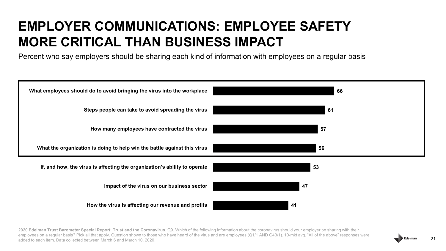#### **EMPLOYER COMMUNICATIONS: EMPLOYEE SAFETY MORE CRITICAL THAN BUSINESS IMPACT**

Percent who say employers should be sharing each kind of information with employees on a regular basis



2020 Edelman Trust Barometer Special Report: Trust and the Coronavirus. Q9. Which of the following information about the coronavirus should your employer be sharing with their employees on a regular basis? Pick all that apply. Question shown to those who have heard of the virus and are employees (Q1/1 AND Q43/1). 10-mkt avg. "All of the above" responses were added to each item. Data collected between March 6 and March 10, 2020.

21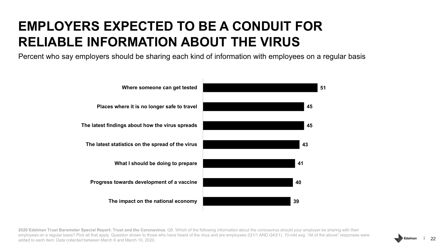#### **EMPLOYERS EXPECTED TO BE A CONDUIT FOR RELIABLE INFORMATION ABOUT THE VIRUS**

Percent who say employers should be sharing each kind of information with employees on a regular basis



**2020 Edelman Trust Barometer Special Report: Trust and the Coronavirus.** Q9. Which of the following information about the coronavirus should your employer be sharing with their employees on a regular basis? Pick all that apply. Question shown to those who have heard of the virus and are employees (Q1/1 AND Q43/1). 10-mkt avg. "All of the above" responses were added to each item. Data collected between March 6 and March 10, 2020.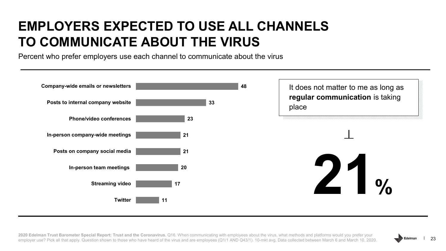#### **EMPLOYERS EXPECTED TO USE ALL CHANNELS TO COMMUNICATE ABOUT THE VIRUS**

Percent who prefer employers use each channel to communicate about the virus



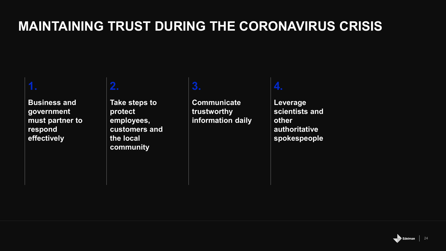#### **MAINTAINING TRUST DURING THE CORONAVIRUS CRISIS**

**Business and government must partner to respond effectively**

#### **2.**

**Take steps to protect employees, customers and the local community**

#### **3.**

**Communicate trustworthy information daily**

#### **4.**

**Leverage scientists and other authoritative spokespeople**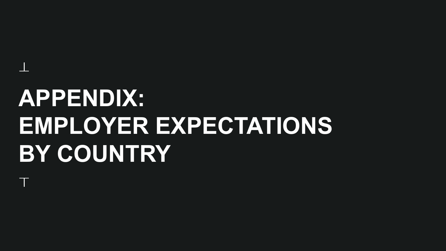# **APPENDIX: EMPLOYER EXPECTATIONS BY COUNTRY**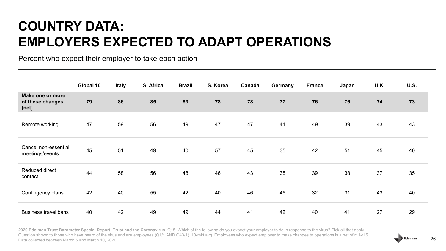#### **COUNTRY DATA: EMPLOYERS EXPECTED TO ADAPT OPERATIONS**

Percent who expect their employer to take each action

|                                               | Global 10 | Italy | S. Africa | <b>Brazil</b> | S. Korea | Canada | Germany | <b>France</b> | Japan | U.K. | <b>U.S.</b> |
|-----------------------------------------------|-----------|-------|-----------|---------------|----------|--------|---------|---------------|-------|------|-------------|
| Make one or more<br>of these changes<br>(net) | 79        | 86    | 85        | 83            | 78       | 78     | 77      | 76            | 76    | 74   | 73          |
| Remote working                                | 47        | 59    | 56        | 49            | 47       | 47     | 41      | 49            | 39    | 43   | 43          |
| Cancel non-essential<br>meetings/events       | 45        | 51    | 49        | 40            | 57       | 45     | 35      | 42            | 51    | 45   | 40          |
| Reduced direct<br>contact                     | 44        | 58    | 56        | 48            | 46       | 43     | 38      | 39            | 38    | 37   | 35          |
| Contingency plans                             | 42        | 40    | 55        | 42            | 40       | 46     | 45      | 32            | 31    | 43   | 40          |
| <b>Business travel bans</b>                   | 40        | 42    | 49        | 49            | 44       | 41     | 42      | 40            | 41    | 27   | 29          |

**2020 Edelman Trust Barometer Special Report: Trust and the Coronavirus.** Q15. Which of the following do you expect your employer to do in response to the virus? Pick all that apply. Question shown to those who have heard of the virus and are employees (Q1/1 AND Q43/1). 10-mkt avg. Employees who expect employer to make changes to operations is a net of r11-r15. Data collected between March 6 and March 10, 2020.